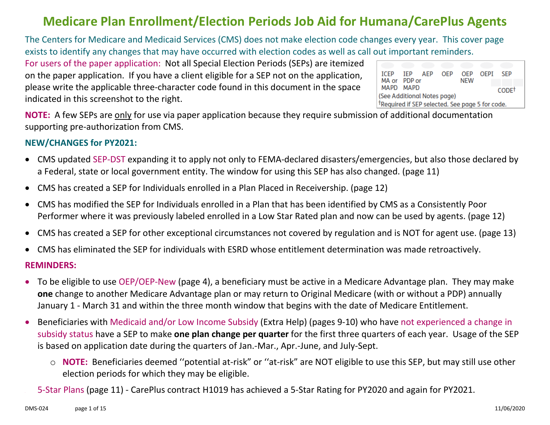#### **Medicare Plan Enrollment/Election Periods Job Aid for Humana/CarePlus Agents**

The Centers for Medicare and Medicaid Services (CMS) does not make election code changes every year. This cover page exists to identify any changes that may have occurred with election codes as well as call out important reminders.

For users of the paper application: Not all Special Election Periods (SEPs) are itemized on the paper application. If you have a client eligible for a SEP not on the application, please write the applicable three-character code found in this document in the space indicated in this screenshot to the right.

|                                                             |  | ICEP IEP AEP | OEP |            | OFP OFPI SEP      |
|-------------------------------------------------------------|--|--------------|-----|------------|-------------------|
| MA or PDP or                                                |  |              |     | <b>NEW</b> |                   |
| MAPD MAPD                                                   |  |              |     |            | CODE <sup>†</sup> |
| (See Additional Notes page)                                 |  |              |     |            |                   |
| <sup>t</sup> Required if SEP selected. See page 5 for code. |  |              |     |            |                   |

**NOTE:** A few SEPs are only for use via paper application because they require submission of additional documentation supporting pre-authorization from CMS.

#### **NEW/CHANGES for PY2021:**

- CMS updated SEP-DST expanding it to apply not only to FEMA-declared disasters/emergencies, but also those declared by a Federal, state or local government entity. The window for using this SEP has also changed. (page 11)
- CMS has created a SEP for Individuals enrolled in a Plan Placed in Receivership. (page 12)
- CMS has modified the SEP for Individuals enrolled in a Plan that has been identified by CMS as a Consistently Poor Performer where it was previously labeled enrolled in a Low Star Rated plan and now can be used by agents. (page 12)
- CMS has created a SEP for other exceptional circumstances not covered by regulation and is NOT for agent use. (page 13)
- CMS has eliminated the SEP for individuals with ESRD whose entitlement determination was made retroactively.

#### **REMINDERS:**

- To be eligible to use OEP/OEP-New (page 4), a beneficiary must be active in a Medicare Advantage plan. They may make **one** change to another Medicare Advantage plan or may return to Original Medicare (with or without a PDP) annually January 1 - March 31 and within the three month window that begins with the date of Medicare Entitlement.
- Beneficiaries with Medicaid and/or Low Income Subsidy (Extra Help) (pages 9-10) who have not experienced a change in subsidy status have a SEP to make **one plan change per quarter** for the first three quarters of each year. Usage of the SEP is based on application date during the quarters of Jan.-Mar., Apr.-June, and July-Sept.
	- o **NOTE:** Beneficiaries deemed ''potential at-risk" or ''at-risk" are NOT eligible to use this SEP, but may still use other election periods for which they may be eligible.
	- 5-Star Plans (page 11) CarePlus contract H1019 has achieved a 5-Star Rating for PY2020 and again for PY2021.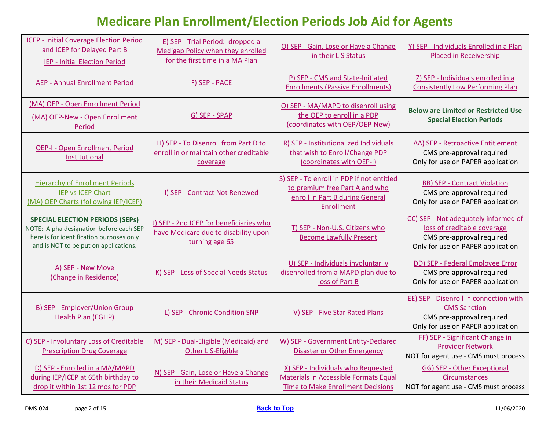<span id="page-1-0"></span>

| <b>ICEP - Initial Coverage Election Period</b><br>and ICEP for Delayed Part B<br><b>IEP - Initial Election Period</b>                                                  | E) SEP - Trial Period: dropped a<br>Medigap Policy when they enrolled<br>for the first time in a MA Plan | O) SEP - Gain, Lose or Have a Change<br>in their LIS Status                                                                  | Y) SEP - Individuals Enrolled in a Plan<br><b>Placed in Receivership</b>                                                              |
|------------------------------------------------------------------------------------------------------------------------------------------------------------------------|----------------------------------------------------------------------------------------------------------|------------------------------------------------------------------------------------------------------------------------------|---------------------------------------------------------------------------------------------------------------------------------------|
| <b>AEP - Annual Enrollment Period</b>                                                                                                                                  | F) SEP - PACE                                                                                            | P) SEP - CMS and State-Initiated<br><b>Enrollments (Passive Enrollments)</b>                                                 | Z) SEP - Individuals enrolled in a<br><b>Consistently Low Performing Plan</b>                                                         |
| (MA) OEP - Open Enrollment Period<br>(MA) OEP-New - Open Enrollment<br>Period                                                                                          | G) SEP - SPAP                                                                                            | Q) SEP - MA/MAPD to disenroll using<br>the OEP to enroll in a PDP<br>(coordinates with OEP/OEP-New)                          | <b>Below are Limited or Restricted Use</b><br><b>Special Election Periods</b>                                                         |
| <b>OEP-I - Open Enrollment Period</b><br>Institutional                                                                                                                 | H) SEP - To Disenroll from Part D to<br>enroll in or maintain other creditable<br>coverage               | R) SEP - Institutionalized Individuals<br>that wish to Enroll/Change PDP<br>(coordinates with OEP-I)                         | AA) SEP - Retroactive Entitlement<br>CMS pre-approval required<br>Only for use on PAPER application                                   |
| <b>Hierarchy of Enrollment Periods</b><br><b>IEP vs ICEP Chart</b><br>(MA) OEP Charts (following IEP/ICEP)                                                             | I) SEP - Contract Not Renewed                                                                            | S) SEP - To enroll in PDP if not entitled<br>to premium free Part A and who<br>enroll in Part B during General<br>Enrollment | <b>BB) SEP - Contract Violation</b><br>CMS pre-approval required<br>Only for use on PAPER application                                 |
| <b>SPECIAL ELECTION PERIODS (SEPS)</b><br>NOTE: Alpha designation before each SEP<br>here is for identification purposes only<br>and is NOT to be put on applications. | J) SEP - 2nd ICEP for beneficiaries who<br>have Medicare due to disability upon<br>turning age 65        | T) SEP - Non-U.S. Citizens who<br><b>Become Lawfully Present</b>                                                             | CC) SEP - Not adequately informed of<br>loss of creditable coverage<br>CMS pre-approval required<br>Only for use on PAPER application |
| A) SEP - New Move<br>(Change in Residence)                                                                                                                             | K) SEP - Loss of Special Needs Status                                                                    | U) SEP - Individuals involuntarily<br>disenrolled from a MAPD plan due to<br>loss of Part B                                  | DD) SEP - Federal Employee Error<br>CMS pre-approval required<br>Only for use on PAPER application                                    |
| <b>B) SEP - Employer/Union Group</b><br>Health Plan (EGHP)                                                                                                             | L) SEP - Chronic Condition SNP                                                                           | V) SEP - Five Star Rated Plans                                                                                               | EE) SEP - Disenroll in connection with<br><b>CMS</b> Sanction<br>CMS pre-approval required<br>Only for use on PAPER application       |
| C) SEP - Involuntary Loss of Creditable<br><b>Prescription Drug Coverage</b>                                                                                           | M) SEP - Dual-Eligible (Medicaid) and<br><b>Other LIS-Eligible</b>                                       | W) SEP - Government Entity-Declared<br>Disaster or Other Emergency                                                           | FF) SEP - Significant Change in<br><b>Provider Network</b><br>NOT for agent use - CMS must process                                    |
| D) SEP - Enrolled in a MA/MAPD<br>during IEP/ICEP at 65th birthday to<br>drop it within 1st 12 mos for PDP                                                             | N) SEP - Gain, Lose or Have a Change<br>in their Medicaid Status                                         | X) SEP - Individuals who Requested<br>Materials in Accessible Formats Equal<br><b>Time to Make Enrollment Decisions</b>      | <b>GG) SEP - Other Exceptional</b><br>Circumstances<br>NOT for agent use - CMS must process                                           |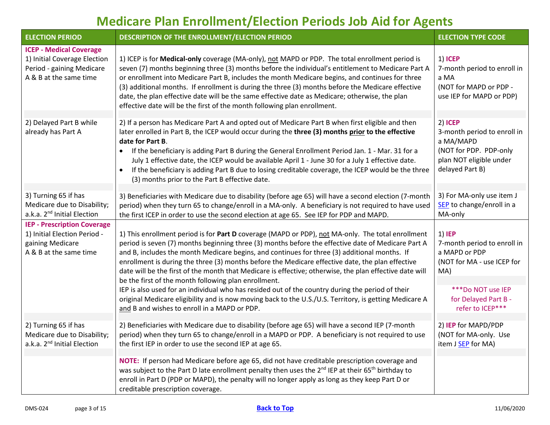<span id="page-2-1"></span><span id="page-2-0"></span>

| <b>ELECTION PERIOD</b>                                                                                                | DESCRIPTION OF THE ENROLLMENT/ELECTION PERIOD                                                                                                                                                                                                                                                                                                                                                                                                                                                                                                                                                                                                                                                                                                                                                                                                | <b>ELECTION TYPE CODE</b>                                                                                                                                    |
|-----------------------------------------------------------------------------------------------------------------------|----------------------------------------------------------------------------------------------------------------------------------------------------------------------------------------------------------------------------------------------------------------------------------------------------------------------------------------------------------------------------------------------------------------------------------------------------------------------------------------------------------------------------------------------------------------------------------------------------------------------------------------------------------------------------------------------------------------------------------------------------------------------------------------------------------------------------------------------|--------------------------------------------------------------------------------------------------------------------------------------------------------------|
| <b>ICEP - Medical Coverage</b><br>1) Initial Coverage Election<br>Period - gaining Medicare<br>A & B at the same time | 1) ICEP is for Medical-only coverage (MA-only), not MAPD or PDP. The total enrollment period is<br>seven (7) months beginning three (3) months before the individual's entitlement to Medicare Part A<br>or enrollment into Medicare Part B, includes the month Medicare begins, and continues for three<br>(3) additional months. If enrollment is during the three (3) months before the Medicare effective<br>date, the plan effective date will be the same effective date as Medicare; otherwise, the plan<br>effective date will be the first of the month following plan enrollment.                                                                                                                                                                                                                                                  | 1) ICEP<br>7-month period to enroll in<br>a MA<br>(NOT for MAPD or PDP -<br>use IEP for MAPD or PDP)                                                         |
| 2) Delayed Part B while<br>already has Part A                                                                         | 2) If a person has Medicare Part A and opted out of Medicare Part B when first eligible and then<br>later enrolled in Part B, the ICEP would occur during the three (3) months prior to the effective<br>date for Part B.<br>If the beneficiary is adding Part B during the General Enrollment Period Jan. 1 - Mar. 31 for a<br>July 1 effective date, the ICEP would be available April 1 - June 30 for a July 1 effective date.<br>If the beneficiary is adding Part B due to losing creditable coverage, the ICEP would be the three<br>$\bullet$<br>(3) months prior to the Part B effective date.                                                                                                                                                                                                                                       | 2) ICEP<br>3-month period to enroll in<br>a MA/MAPD<br>(NOT for PDP. PDP-only<br>plan NOT eligible under<br>delayed Part B)                                  |
| 3) Turning 65 if has<br>Medicare due to Disability;<br>a.k.a. 2 <sup>nd</sup> Initial Election                        | 3) Beneficiaries with Medicare due to disability (before age 65) will have a second election (7-month<br>period) when they turn 65 to change/enroll in a MA-only. A beneficiary is not required to have used<br>the first ICEP in order to use the second election at age 65. See IEP for PDP and MAPD.                                                                                                                                                                                                                                                                                                                                                                                                                                                                                                                                      | 3) For MA-only use item J<br>SEP to change/enroll in a<br>MA-only                                                                                            |
| <b>IEP - Prescription Coverage</b><br>1) Initial Election Period -<br>gaining Medicare<br>A & B at the same time      | 1) This enrollment period is for Part D coverage (MAPD or PDP), not MA-only. The total enrollment<br>period is seven (7) months beginning three (3) months before the effective date of Medicare Part A<br>and B, includes the month Medicare begins, and continues for three (3) additional months. If<br>enrollment is during the three (3) months before the Medicare effective date, the plan effective<br>date will be the first of the month that Medicare is effective; otherwise, the plan effective date will<br>be the first of the month following plan enrollment.<br>IEP is also used for an individual who has resided out of the country during the period of their<br>original Medicare eligibility and is now moving back to the U.S./U.S. Territory, is getting Medicare A<br>and B and wishes to enroll in a MAPD or PDP. | 1) IEP<br>7-month period to enroll in<br>a MAPD or PDP<br>(NOT for MA - use ICEP for<br>MA)<br>***Do NOT use IEP<br>for Delayed Part B -<br>refer to ICEP*** |
| 2) Turning 65 if has<br>Medicare due to Disability;<br>a.k.a. 2 <sup>nd</sup> Initial Election                        | 2) Beneficiaries with Medicare due to disability (before age 65) will have a second IEP (7-month<br>period) when they turn 65 to change/enroll in a MAPD or PDP. A beneficiary is not required to use<br>the first IEP in order to use the second IEP at age 65.                                                                                                                                                                                                                                                                                                                                                                                                                                                                                                                                                                             | 2) IEP for MAPD/PDP<br>(NOT for MA-only. Use<br>item J SEP for MA)                                                                                           |
|                                                                                                                       | NOTE: If person had Medicare before age 65, did not have creditable prescription coverage and<br>was subject to the Part D late enrollment penalty then uses the 2 <sup>nd</sup> IEP at their 65 <sup>th</sup> birthday to<br>enroll in Part D (PDP or MAPD), the penalty will no longer apply as long as they keep Part D or<br>creditable prescription coverage.                                                                                                                                                                                                                                                                                                                                                                                                                                                                           |                                                                                                                                                              |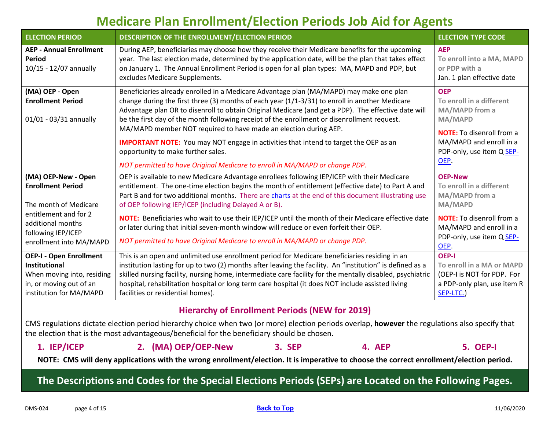<span id="page-3-2"></span><span id="page-3-1"></span><span id="page-3-0"></span>

| <b>ELECTION PERIOD</b>                                                                                                                                                  | DESCRIPTION OF THE ENROLLMENT/ELECTION PERIOD                                                                                                                                                                                                                                                                                                                                                                                                                                                                                                                                                                                                                                             | <b>ELECTION TYPE CODE</b>                                                                                                                                                          |
|-------------------------------------------------------------------------------------------------------------------------------------------------------------------------|-------------------------------------------------------------------------------------------------------------------------------------------------------------------------------------------------------------------------------------------------------------------------------------------------------------------------------------------------------------------------------------------------------------------------------------------------------------------------------------------------------------------------------------------------------------------------------------------------------------------------------------------------------------------------------------------|------------------------------------------------------------------------------------------------------------------------------------------------------------------------------------|
| <b>AEP - Annual Enrollment</b><br>Period<br>10/15 - 12/07 annually                                                                                                      | During AEP, beneficiaries may choose how they receive their Medicare benefits for the upcoming<br>year. The last election made, determined by the application date, will be the plan that takes effect<br>on January 1. The Annual Enrollment Period is open for all plan types: MA, MAPD and PDP, but<br>excludes Medicare Supplements.                                                                                                                                                                                                                                                                                                                                                  | <b>AEP</b><br>To enroll into a MA, MAPD<br>or PDP with a<br>Jan. 1 plan effective date                                                                                             |
| (MA) OEP - Open<br><b>Enrollment Period</b><br>01/01 - 03/31 annually                                                                                                   | Beneficiaries already enrolled in a Medicare Advantage plan (MA/MAPD) may make one plan<br>change during the first three (3) months of each year $(1/1-3/31)$ to enroll in another Medicare<br>Advantage plan OR to disenroll to obtain Original Medicare (and get a PDP). The effective date will<br>be the first day of the month following receipt of the enrollment or disenrollment request.<br>MA/MAPD member NOT required to have made an election during AEP.<br><b>IMPORTANT NOTE:</b> You may NOT engage in activities that intend to target the OEP as an<br>opportunity to make further sales.<br>NOT permitted to have Original Medicare to enroll in MA/MAPD or change PDP. | <b>OEP</b><br>To enroll in a different<br>MA/MAPD from a<br><b>MA/MAPD</b><br><b>NOTE:</b> To disenroll from a<br>MA/MAPD and enroll in a<br>PDP-only, use item Q SEP-<br>OEP.     |
| (MA) OEP-New - Open<br><b>Enrollment Period</b><br>The month of Medicare<br>entitlement and for 2<br>additional months<br>following IEP/ICEP<br>enrollment into MA/MAPD | OEP is available to new Medicare Advantage enrollees following IEP/ICEP with their Medicare<br>entitlement. The one-time election begins the month of entitlement (effective date) to Part A and<br>Part B and for two additional months. There are charts at the end of this document illustrating use<br>of OEP following IEP/ICEP (including Delayed A or B).<br>NOTE: Beneficiaries who wait to use their IEP/ICEP until the month of their Medicare effective date<br>or later during that initial seven-month window will reduce or even forfeit their OEP.<br>NOT permitted to have Original Medicare to enroll in MA/MAPD or change PDP.                                          | <b>OEP-New</b><br>To enroll in a different<br>MA/MAPD from a<br><b>MA/MAPD</b><br><b>NOTE:</b> To disenroll from a<br>MA/MAPD and enroll in a<br>PDP-only, use item Q SEP-<br>OEP. |
| <b>OEP-I - Open Enrollment</b><br><b>Institutional</b><br>When moving into, residing<br>in, or moving out of an<br>institution for MA/MAPD                              | This is an open and unlimited use enrollment period for Medicare beneficiaries residing in an<br>institution lasting for up to two (2) months after leaving the facility. An "institution" is defined as a<br>skilled nursing facility, nursing home, intermediate care facility for the mentally disabled, psychiatric<br>hospital, rehabilitation hospital or long term care hospital (it does NOT include assisted living<br>facilities or residential homes).                                                                                                                                                                                                                         | <b>OEP-I</b><br>To enroll in a MA or MAPD<br>(OEP-I is NOT for PDP. For<br>a PDP-only plan, use item R<br>SEP-LTC.)                                                                |

#### **Hierarchy of Enrollment Periods (NEW for 2019)**

<span id="page-3-4"></span><span id="page-3-3"></span>CMS regulations dictate election period hierarchy choice when two (or more) election periods overlap, **however** the regulations also specify that the election that is the most advantageous/beneficial for the beneficiary should be chosen.

| 1. IEP/ICEP | 2. (MA) OEP/OEP-New | 3. SEP | 4. AEP | <b>5. OEP-I</b> |
|-------------|---------------------|--------|--------|-----------------|
|-------------|---------------------|--------|--------|-----------------|

**NOTE: CMS will deny applications with the wrong enrollment/election. It is imperative to choose the correct enrollment/election period.**

**The Descriptions and Codes for the Special Elections Periods (SEPs) are Located on the Following Pages.**

**[Back to Top](#page-1-0)**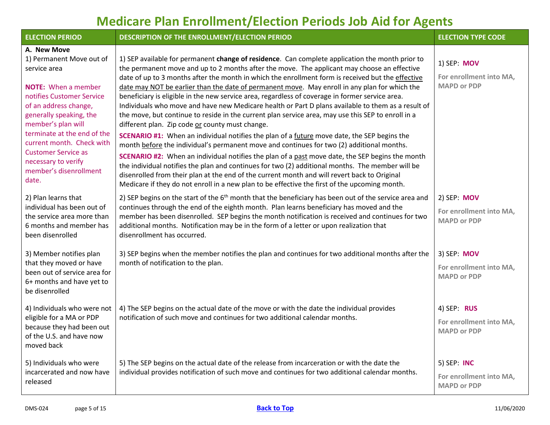<span id="page-4-0"></span>

| <b>ELECTION PERIOD</b>                                                                                                                                                                                                                                                                                                                           | DESCRIPTION OF THE ENROLLMENT/ELECTION PERIOD                                                                                                                                                                                                                                                                                                                                                                                                                                                                                                                                                                                                                                                                                                                                                                                                                                                                                                                                                                                                                                                                                                                                                                                                                                                                                                                              | <b>ELECTION TYPE CODE</b>                                    |
|--------------------------------------------------------------------------------------------------------------------------------------------------------------------------------------------------------------------------------------------------------------------------------------------------------------------------------------------------|----------------------------------------------------------------------------------------------------------------------------------------------------------------------------------------------------------------------------------------------------------------------------------------------------------------------------------------------------------------------------------------------------------------------------------------------------------------------------------------------------------------------------------------------------------------------------------------------------------------------------------------------------------------------------------------------------------------------------------------------------------------------------------------------------------------------------------------------------------------------------------------------------------------------------------------------------------------------------------------------------------------------------------------------------------------------------------------------------------------------------------------------------------------------------------------------------------------------------------------------------------------------------------------------------------------------------------------------------------------------------|--------------------------------------------------------------|
| A. New Move<br>1) Permanent Move out of<br>service area<br><b>NOTE:</b> When a member<br>notifies Customer Service<br>of an address change,<br>generally speaking, the<br>member's plan will<br>terminate at the end of the<br>current month. Check with<br><b>Customer Service as</b><br>necessary to verify<br>member's disenrollment<br>date. | 1) SEP available for permanent change of residence. Can complete application the month prior to<br>the permanent move and up to 2 months after the move. The applicant may choose an effective<br>date of up to 3 months after the month in which the enrollment form is received but the effective<br>date may NOT be earlier than the date of permanent move. May enroll in any plan for which the<br>beneficiary is eligible in the new service area, regardless of coverage in former service area.<br>Individuals who move and have new Medicare health or Part D plans available to them as a result of<br>the move, but continue to reside in the current plan service area, may use this SEP to enroll in a<br>different plan. Zip code or county must change.<br>SCENARIO #1: When an individual notifies the plan of a future move date, the SEP begins the<br>month before the individual's permanent move and continues for two (2) additional months.<br>SCENARIO #2: When an individual notifies the plan of a past move date, the SEP begins the month<br>the individual notifies the plan and continues for two (2) additional months. The member will be<br>disenrolled from their plan at the end of the current month and will revert back to Original<br>Medicare if they do not enroll in a new plan to be effective the first of the upcoming month. | 1) SEP: MOV<br>For enrollment into MA,<br><b>MAPD or PDP</b> |
| 2) Plan learns that<br>individual has been out of<br>the service area more than<br>6 months and member has<br>been disenrolled                                                                                                                                                                                                                   | 2) SEP begins on the start of the $6th$ month that the beneficiary has been out of the service area and<br>continues through the end of the eighth month. Plan learns beneficiary has moved and the<br>member has been disenrolled. SEP begins the month notification is received and continues for two<br>additional months. Notification may be in the form of a letter or upon realization that<br>disenrollment has occurred.                                                                                                                                                                                                                                                                                                                                                                                                                                                                                                                                                                                                                                                                                                                                                                                                                                                                                                                                          | 2) SEP: MOV<br>For enrollment into MA,<br><b>MAPD or PDP</b> |
| 3) Member notifies plan<br>that they moved or have<br>been out of service area for<br>6+ months and have yet to<br>be disenrolled                                                                                                                                                                                                                | 3) SEP begins when the member notifies the plan and continues for two additional months after the<br>month of notification to the plan.                                                                                                                                                                                                                                                                                                                                                                                                                                                                                                                                                                                                                                                                                                                                                                                                                                                                                                                                                                                                                                                                                                                                                                                                                                    | 3) SEP: MOV<br>For enrollment into MA,<br><b>MAPD or PDP</b> |
| 4) Individuals who were not<br>eligible for a MA or PDP<br>because they had been out<br>of the U.S. and have now<br>moved back                                                                                                                                                                                                                   | 4) The SEP begins on the actual date of the move or with the date the individual provides<br>notification of such move and continues for two additional calendar months.                                                                                                                                                                                                                                                                                                                                                                                                                                                                                                                                                                                                                                                                                                                                                                                                                                                                                                                                                                                                                                                                                                                                                                                                   | 4) SEP: RUS<br>For enrollment into MA,<br><b>MAPD or PDP</b> |
| 5) Individuals who were<br>incarcerated and now have<br>released                                                                                                                                                                                                                                                                                 | 5) The SEP begins on the actual date of the release from incarceration or with the date the<br>individual provides notification of such move and continues for two additional calendar months.                                                                                                                                                                                                                                                                                                                                                                                                                                                                                                                                                                                                                                                                                                                                                                                                                                                                                                                                                                                                                                                                                                                                                                             | 5) SEP: INC<br>For enrollment into MA,<br><b>MAPD or PDP</b> |

**[Back to Top](#page-1-0)**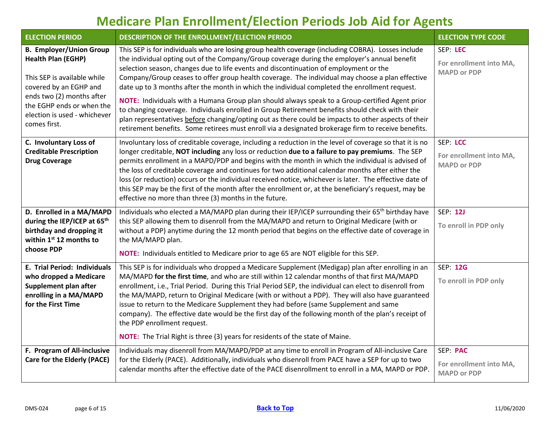<span id="page-5-4"></span><span id="page-5-3"></span><span id="page-5-2"></span><span id="page-5-1"></span><span id="page-5-0"></span>

| <b>ELECTION PERIOD</b>                                                                                                                                                                                                         | DESCRIPTION OF THE ENROLLMENT/ELECTION PERIOD                                                                                                                                                                                                                                                                                                                                                                                                                                                                                                                                                                                                                                                                                                                                                                                                                                                                       | <b>ELECTION TYPE CODE</b>                                 |
|--------------------------------------------------------------------------------------------------------------------------------------------------------------------------------------------------------------------------------|---------------------------------------------------------------------------------------------------------------------------------------------------------------------------------------------------------------------------------------------------------------------------------------------------------------------------------------------------------------------------------------------------------------------------------------------------------------------------------------------------------------------------------------------------------------------------------------------------------------------------------------------------------------------------------------------------------------------------------------------------------------------------------------------------------------------------------------------------------------------------------------------------------------------|-----------------------------------------------------------|
| <b>B. Employer/Union Group</b><br><b>Health Plan (EGHP)</b><br>This SEP is available while<br>covered by an EGHP and<br>ends two (2) months after<br>the EGHP ends or when the<br>election is used - whichever<br>comes first. | This SEP is for individuals who are losing group health coverage (including COBRA). Losses include<br>the individual opting out of the Company/Group coverage during the employer's annual benefit<br>selection season, changes due to life events and discontinuation of employment or the<br>Company/Group ceases to offer group health coverage. The individual may choose a plan effective<br>date up to 3 months after the month in which the individual completed the enrollment request.<br>NOTE: Individuals with a Humana Group plan should always speak to a Group-certified Agent prior<br>to changing coverage. Individuals enrolled in Group Retirement benefits should check with their<br>plan representatives before changing/opting out as there could be impacts to other aspects of their<br>retirement benefits. Some retirees must enroll via a designated brokerage firm to receive benefits. | SEP: LEC<br>For enrollment into MA,<br><b>MAPD or PDP</b> |
| C. Involuntary Loss of<br><b>Creditable Prescription</b><br><b>Drug Coverage</b>                                                                                                                                               | Involuntary loss of creditable coverage, including a reduction in the level of coverage so that it is no<br>longer creditable, NOT including any loss or reduction due to a failure to pay premiums. The SEP<br>permits enrollment in a MAPD/PDP and begins with the month in which the individual is advised of<br>the loss of creditable coverage and continues for two additional calendar months after either the<br>loss (or reduction) occurs or the individual received notice, whichever is later. The effective date of<br>this SEP may be the first of the month after the enrollment or, at the beneficiary's request, may be<br>effective no more than three (3) months in the future.                                                                                                                                                                                                                  | SEP: LCC<br>For enrollment into MA,<br><b>MAPD or PDP</b> |
| D. Enrolled in a MA/MAPD<br>during the IEP/ICEP at 65th<br>birthday and dropping it<br>within $1st 12$ months to<br>choose PDP                                                                                                 | Individuals who elected a MA/MAPD plan during their IEP/ICEP surrounding their 65 <sup>th</sup> birthday have<br>this SEP allowing them to disenroll from the MA/MAPD and return to Original Medicare (with or<br>without a PDP) anytime during the 12 month period that begins on the effective date of coverage in<br>the MA/MAPD plan.<br>NOTE: Individuals entitled to Medicare prior to age 65 are NOT eligible for this SEP.                                                                                                                                                                                                                                                                                                                                                                                                                                                                                  | <b>SEP: 12J</b><br>To enroll in PDP only                  |
| E. Trial Period: Individuals<br>who dropped a Medicare<br>Supplement plan after<br>enrolling in a MA/MAPD<br>for the First Time                                                                                                | This SEP is for individuals who dropped a Medicare Supplement (Medigap) plan after enrolling in an<br>MA/MAPD for the first time, and who are still within 12 calendar months of that first MA/MAPD<br>enrollment, i.e., Trial Period. During this Trial Period SEP, the individual can elect to disenroll from<br>the MA/MAPD, return to Original Medicare (with or without a PDP). They will also have guaranteed<br>issue to return to the Medicare Supplement they had before (same Supplement and same<br>company). The effective date would be the first day of the following month of the plan's receipt of<br>the PDP enrollment request.<br><b>NOTE:</b> The Trial Right is three (3) years for residents of the state of Maine.                                                                                                                                                                           | <b>SEP: 12G</b><br>To enroll in PDP only                  |
| F. Program of All-inclusive<br>Care for the Elderly (PACE)                                                                                                                                                                     | Individuals may disenroll from MA/MAPD/PDP at any time to enroll in Program of All-inclusive Care<br>for the Elderly (PACE). Additionally, individuals who disenroll from PACE have a SEP for up to two<br>calendar months after the effective date of the PACE disenrollment to enroll in a MA, MAPD or PDP.                                                                                                                                                                                                                                                                                                                                                                                                                                                                                                                                                                                                       | SEP: PAC<br>For enrollment into MA,<br><b>MAPD or PDP</b> |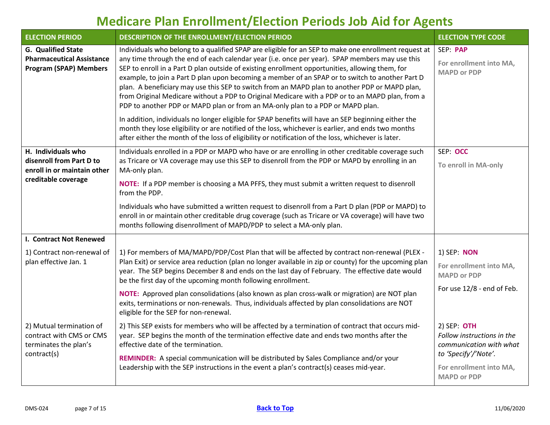<span id="page-6-2"></span><span id="page-6-1"></span><span id="page-6-0"></span>

| <b>ELECTION PERIOD</b>                                                                         | DESCRIPTION OF THE ENROLLMENT/ELECTION PERIOD                                                                                                                                                                                                                                                                                                                                                                                                                                                                                                                                                                                                                                                      | <b>ELECTION TYPE CODE</b>                                                                                                                       |
|------------------------------------------------------------------------------------------------|----------------------------------------------------------------------------------------------------------------------------------------------------------------------------------------------------------------------------------------------------------------------------------------------------------------------------------------------------------------------------------------------------------------------------------------------------------------------------------------------------------------------------------------------------------------------------------------------------------------------------------------------------------------------------------------------------|-------------------------------------------------------------------------------------------------------------------------------------------------|
| <b>G. Qualified State</b><br><b>Pharmaceutical Assistance</b><br><b>Program (SPAP) Members</b> | Individuals who belong to a qualified SPAP are eligible for an SEP to make one enrollment request at<br>any time through the end of each calendar year (i.e. once per year). SPAP members may use this<br>SEP to enroll in a Part D plan outside of existing enrollment opportunities, allowing them, for<br>example, to join a Part D plan upon becoming a member of an SPAP or to switch to another Part D<br>plan. A beneficiary may use this SEP to switch from an MAPD plan to another PDP or MAPD plan,<br>from Original Medicare without a PDP to Original Medicare with a PDP or to an MAPD plan, from a<br>PDP to another PDP or MAPD plan or from an MA-only plan to a PDP or MAPD plan. | SEP: PAP<br>For enrollment into MA,<br><b>MAPD or PDP</b>                                                                                       |
|                                                                                                | In addition, individuals no longer eligible for SPAP benefits will have an SEP beginning either the<br>month they lose eligibility or are notified of the loss, whichever is earlier, and ends two months<br>after either the month of the loss of eligibility or notification of the loss, whichever is later.                                                                                                                                                                                                                                                                                                                                                                                    |                                                                                                                                                 |
| H. Individuals who<br>disenroll from Part D to<br>enroll in or maintain other                  | Individuals enrolled in a PDP or MAPD who have or are enrolling in other creditable coverage such<br>as Tricare or VA coverage may use this SEP to disenroll from the PDP or MAPD by enrolling in an<br>MA-only plan.                                                                                                                                                                                                                                                                                                                                                                                                                                                                              | SEP: OCC<br>To enroll in MA-only                                                                                                                |
| creditable coverage                                                                            | NOTE: If a PDP member is choosing a MA PFFS, they must submit a written request to disenroll<br>from the PDP.                                                                                                                                                                                                                                                                                                                                                                                                                                                                                                                                                                                      |                                                                                                                                                 |
|                                                                                                | Individuals who have submitted a written request to disenroll from a Part D plan (PDP or MAPD) to<br>enroll in or maintain other creditable drug coverage (such as Tricare or VA coverage) will have two<br>months following disenrollment of MAPD/PDP to select a MA-only plan.                                                                                                                                                                                                                                                                                                                                                                                                                   |                                                                                                                                                 |
| I. Contract Not Renewed                                                                        |                                                                                                                                                                                                                                                                                                                                                                                                                                                                                                                                                                                                                                                                                                    |                                                                                                                                                 |
| 1) Contract non-renewal of<br>plan effective Jan. 1                                            | 1) For members of MA/MAPD/PDP/Cost Plan that will be affected by contract non-renewal (PLEX -<br>Plan Exit) or service area reduction (plan no longer available in zip or county) for the upcoming plan<br>year. The SEP begins December 8 and ends on the last day of February. The effective date would<br>be the first day of the upcoming month following enrollment.                                                                                                                                                                                                                                                                                                                          | 1) SEP: NON<br>For enrollment into MA,<br><b>MAPD or PDP</b>                                                                                    |
|                                                                                                | NOTE: Approved plan consolidations (also known as plan cross-walk or migration) are NOT plan<br>exits, terminations or non-renewals. Thus, individuals affected by plan consolidations are NOT<br>eligible for the SEP for non-renewal.                                                                                                                                                                                                                                                                                                                                                                                                                                                            | For use 12/8 - end of Feb.                                                                                                                      |
| 2) Mutual termination of<br>contract with CMS or CMS<br>terminates the plan's<br>contract(s)   | 2) This SEP exists for members who will be affected by a termination of contract that occurs mid-<br>year. SEP begins the month of the termination effective date and ends two months after the<br>effective date of the termination.<br>REMINDER: A special communication will be distributed by Sales Compliance and/or your<br>Leadership with the SEP instructions in the event a plan's contract(s) ceases mid-year.                                                                                                                                                                                                                                                                          | $2)$ SEP: OTH<br>Follow instructions in the<br>communication with what<br>to 'Specify'/'Note'.<br>For enrollment into MA,<br><b>MAPD or PDP</b> |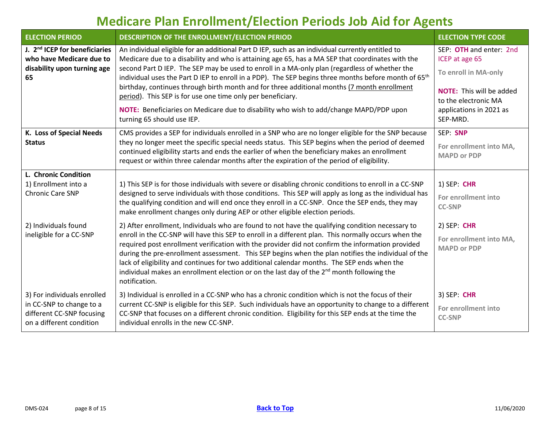<span id="page-7-2"></span><span id="page-7-1"></span><span id="page-7-0"></span>

| <b>ELECTION PERIOD</b>                                                                                     | DESCRIPTION OF THE ENROLLMENT/ELECTION PERIOD                                                                                                                                                                                                                                                                                                                                                                                                                                                                                           | <b>ELECTION TYPE CODE</b>                                         |
|------------------------------------------------------------------------------------------------------------|-----------------------------------------------------------------------------------------------------------------------------------------------------------------------------------------------------------------------------------------------------------------------------------------------------------------------------------------------------------------------------------------------------------------------------------------------------------------------------------------------------------------------------------------|-------------------------------------------------------------------|
| J. 2 <sup>nd</sup> ICEP for beneficiaries<br>who have Medicare due to<br>disability upon turning age<br>65 | An individual eligible for an additional Part D IEP, such as an individual currently entitled to<br>Medicare due to a disability and who is attaining age 65, has a MA SEP that coordinates with the<br>second Part D IEP. The SEP may be used to enroll in a MA-only plan (regardless of whether the<br>individual uses the Part D IEP to enroll in a PDP). The SEP begins three months before month of 65 <sup>th</sup>                                                                                                               | SEP: OTH and enter: 2nd<br>ICEP at age 65<br>To enroll in MA-only |
|                                                                                                            | birthday, continues through birth month and for three additional months (7 month enrollment<br>period). This SEP is for use one time only per beneficiary.                                                                                                                                                                                                                                                                                                                                                                              | <b>NOTE:</b> This will be added<br>to the electronic MA           |
|                                                                                                            | NOTE: Beneficiaries on Medicare due to disability who wish to add/change MAPD/PDP upon<br>turning 65 should use IEP.                                                                                                                                                                                                                                                                                                                                                                                                                    | applications in 2021 as<br>SEP-MRD.                               |
| K. Loss of Special Needs                                                                                   | CMS provides a SEP for individuals enrolled in a SNP who are no longer eligible for the SNP because                                                                                                                                                                                                                                                                                                                                                                                                                                     | SEP: SNP                                                          |
| <b>Status</b>                                                                                              | they no longer meet the specific special needs status. This SEP begins when the period of deemed<br>continued eligibility starts and ends the earlier of when the beneficiary makes an enrollment<br>request or within three calendar months after the expiration of the period of eligibility.                                                                                                                                                                                                                                         | For enrollment into MA,<br><b>MAPD or PDP</b>                     |
| L. Chronic Condition                                                                                       |                                                                                                                                                                                                                                                                                                                                                                                                                                                                                                                                         |                                                                   |
| 1) Enrollment into a<br><b>Chronic Care SNP</b>                                                            | 1) This SEP is for those individuals with severe or disabling chronic conditions to enroll in a CC-SNP                                                                                                                                                                                                                                                                                                                                                                                                                                  | 1) SEP: CHR                                                       |
|                                                                                                            | designed to serve individuals with those conditions. This SEP will apply as long as the individual has<br>the qualifying condition and will end once they enroll in a CC-SNP. Once the SEP ends, they may<br>make enrollment changes only during AEP or other eligible election periods.                                                                                                                                                                                                                                                | For enrollment into<br><b>CC-SNP</b>                              |
| 2) Individuals found                                                                                       | 2) After enrollment, Individuals who are found to not have the qualifying condition necessary to                                                                                                                                                                                                                                                                                                                                                                                                                                        | $2)$ SEP: CHR                                                     |
| ineligible for a CC-SNP                                                                                    | enroll in the CC-SNP will have this SEP to enroll in a different plan. This normally occurs when the<br>required post enrollment verification with the provider did not confirm the information provided<br>during the pre-enrollment assessment. This SEP begins when the plan notifies the individual of the<br>lack of eligibility and continues for two additional calendar months. The SEP ends when the<br>individual makes an enrollment election or on the last day of the 2 <sup>nd</sup> month following the<br>notification. | For enrollment into MA,<br><b>MAPD or PDP</b>                     |
| 3) For individuals enrolled                                                                                | 3) Individual is enrolled in a CC-SNP who has a chronic condition which is not the focus of their                                                                                                                                                                                                                                                                                                                                                                                                                                       | 3) SEP: CHR                                                       |
| in CC-SNP to change to a<br>different CC-SNP focusing<br>on a different condition                          | current CC-SNP is eligible for this SEP. Such individuals have an opportunity to change to a different<br>CC-SNP that focuses on a different chronic condition. Eligibility for this SEP ends at the time the<br>individual enrolls in the new CC-SNP.                                                                                                                                                                                                                                                                                  | For enrollment into<br><b>CC-SNP</b>                              |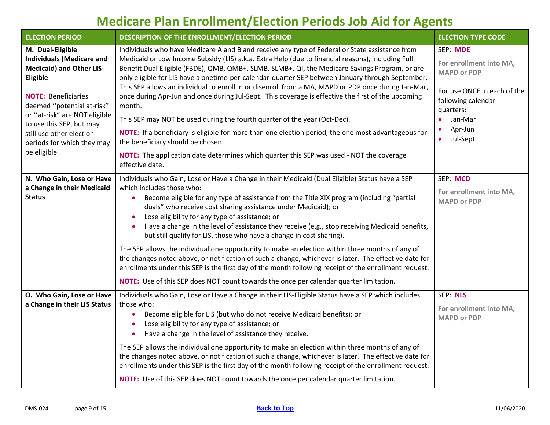<span id="page-8-2"></span><span id="page-8-1"></span><span id="page-8-0"></span>

| <b>ELECTION PERIOD</b>                                                                                                                                                                                                                                                                                 | DESCRIPTION OF THE ENROLLMENT/ELECTION PERIOD                                                                                                                                                                                                                                                                                                                                                                                                                                                                                                                                                                                                                                                                                                                                                                                                                                                                                                                            | <b>ELECTION TYPE CODE</b>                                                                                                                                                               |
|--------------------------------------------------------------------------------------------------------------------------------------------------------------------------------------------------------------------------------------------------------------------------------------------------------|--------------------------------------------------------------------------------------------------------------------------------------------------------------------------------------------------------------------------------------------------------------------------------------------------------------------------------------------------------------------------------------------------------------------------------------------------------------------------------------------------------------------------------------------------------------------------------------------------------------------------------------------------------------------------------------------------------------------------------------------------------------------------------------------------------------------------------------------------------------------------------------------------------------------------------------------------------------------------|-----------------------------------------------------------------------------------------------------------------------------------------------------------------------------------------|
| M. Dual-Eligible<br><b>Individuals (Medicare and</b><br><b>Medicaid) and Other LIS-</b><br>Eligible<br><b>NOTE: Beneficiaries</b><br>deemed "potential at-risk"<br>or "at-risk" are NOT eligible<br>to use this SEP, but may<br>still use other election<br>periods for which they may<br>be eligible. | Individuals who have Medicare A and B and receive any type of Federal or State assistance from<br>Medicaid or Low Income Subsidy (LIS) a.k.a. Extra Help (due to financial reasons), including Full<br>Benefit Dual Eligible (FBDE), QMB, QMB+, SLMB, SLMB+, QI, the Medicare Savings Program, or are<br>only eligible for LIS have a onetime-per-calendar-quarter SEP between January through September.<br>This SEP allows an individual to enroll in or disenroll from a MA, MAPD or PDP once during Jan-Mar,<br>once during Apr-Jun and once during Jul-Sept. This coverage is effective the first of the upcoming<br>month.<br>This SEP may NOT be used during the fourth quarter of the year (Oct-Dec).<br>NOTE: If a beneficiary is eligible for more than one election period, the one most advantageous for<br>the beneficiary should be chosen.<br>NOTE: The application date determines which quarter this SEP was used - NOT the coverage<br>effective date. | SEP: MDE<br>For enrollment into MA,<br><b>MAPD or PDP</b><br>For use ONCE in each of the<br>following calendar<br>quarters:<br>Jan-Mar<br>$\bullet$<br>Apr-Jun<br>Jul-Sept<br>$\bullet$ |
| N. Who Gain, Lose or Have<br>a Change in their Medicaid<br><b>Status</b>                                                                                                                                                                                                                               | Individuals who Gain, Lose or Have a Change in their Medicaid (Dual Eligible) Status have a SEP<br>which includes those who:<br>Become eligible for any type of assistance from the Title XIX program (including "partial<br>duals" who receive cost sharing assistance under Medicaid); or<br>Lose eligibility for any type of assistance; or<br>Have a change in the level of assistance they receive (e.g., stop receiving Medicaid benefits,<br>but still qualify for LIS, those who have a change in cost sharing).<br>The SEP allows the individual one opportunity to make an election within three months of any of<br>the changes noted above, or notification of such a change, whichever is later. The effective date for<br>enrollments under this SEP is the first day of the month following receipt of the enrollment request.<br>NOTE: Use of this SEP does NOT count towards the once per calendar quarter limitation.                                  | SEP: MCD<br>For enrollment into MA,<br><b>MAPD or PDP</b>                                                                                                                               |
| O. Who Gain, Lose or Have<br>a Change in their LIS Status                                                                                                                                                                                                                                              | Individuals who Gain, Lose or Have a Change in their LIS-Eligible Status have a SEP which includes<br>those who:<br>Become eligible for LIS (but who do not receive Medicaid benefits); or<br>Lose eligibility for any type of assistance; or<br>Have a change in the level of assistance they receive.<br>The SEP allows the individual one opportunity to make an election within three months of any of<br>the changes noted above, or notification of such a change, whichever is later. The effective date for<br>enrollments under this SEP is the first day of the month following receipt of the enrollment request.<br>NOTE: Use of this SEP does NOT count towards the once per calendar quarter limitation.                                                                                                                                                                                                                                                   | SEP: NLS<br>For enrollment into MA,<br><b>MAPD or PDP</b>                                                                                                                               |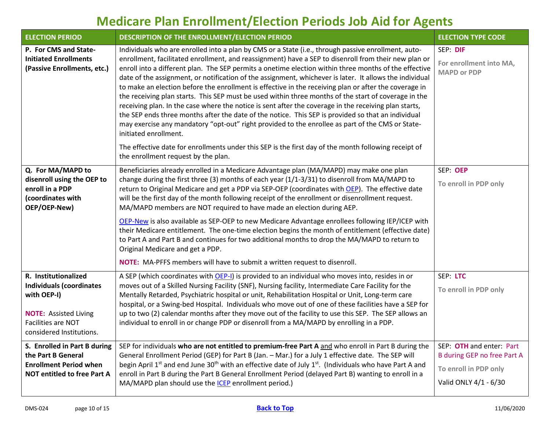<span id="page-9-3"></span><span id="page-9-2"></span><span id="page-9-1"></span><span id="page-9-0"></span>

| <b>ELECTION PERIOD</b>                                                                                                                                   | DESCRIPTION OF THE ENROLLMENT/ELECTION PERIOD                                                                                                                                                                                                                                                                                                                                                                                                                                                                                                                                                                                                                                                                                                                                                                                                                                                                                                                                                                                                                                                                                               | <b>ELECTION TYPE CODE</b>                                                                                 |
|----------------------------------------------------------------------------------------------------------------------------------------------------------|---------------------------------------------------------------------------------------------------------------------------------------------------------------------------------------------------------------------------------------------------------------------------------------------------------------------------------------------------------------------------------------------------------------------------------------------------------------------------------------------------------------------------------------------------------------------------------------------------------------------------------------------------------------------------------------------------------------------------------------------------------------------------------------------------------------------------------------------------------------------------------------------------------------------------------------------------------------------------------------------------------------------------------------------------------------------------------------------------------------------------------------------|-----------------------------------------------------------------------------------------------------------|
| P. For CMS and State-<br><b>Initiated Enrollments</b><br>(Passive Enrollments, etc.)                                                                     | Individuals who are enrolled into a plan by CMS or a State (i.e., through passive enrollment, auto-<br>enrollment, facilitated enrollment, and reassignment) have a SEP to disenroll from their new plan or<br>enroll into a different plan. The SEP permits a onetime election within three months of the effective<br>date of the assignment, or notification of the assignment, whichever is later. It allows the individual<br>to make an election before the enrollment is effective in the receiving plan or after the coverage in<br>the receiving plan starts. This SEP must be used within three months of the start of coverage in the<br>receiving plan. In the case where the notice is sent after the coverage in the receiving plan starts,<br>the SEP ends three months after the date of the notice. This SEP is provided so that an individual<br>may exercise any mandatory "opt-out" right provided to the enrollee as part of the CMS or State-<br>initiated enrollment.<br>The effective date for enrollments under this SEP is the first day of the month following receipt of<br>the enrollment request by the plan. | SEP: DIF<br>For enrollment into MA,<br><b>MAPD or PDP</b>                                                 |
| Q. For MA/MAPD to<br>disenroll using the OEP to<br>enroll in a PDP<br>(coordinates with<br>OEP/OEP-New)                                                  | Beneficiaries already enrolled in a Medicare Advantage plan (MA/MAPD) may make one plan<br>change during the first three (3) months of each year (1/1-3/31) to disenroll from MA/MAPD to<br>return to Original Medicare and get a PDP via SEP-OEP (coordinates with OEP). The effective date<br>will be the first day of the month following receipt of the enrollment or disenrollment request.<br>MA/MAPD members are NOT required to have made an election during AEP.<br>OEP-New is also available as SEP-OEP to new Medicare Advantage enrollees following IEP/ICEP with<br>their Medicare entitlement. The one-time election begins the month of entitlement (effective date)<br>to Part A and Part B and continues for two additional months to drop the MA/MAPD to return to<br>Original Medicare and get a PDP.<br>NOTE: MA-PFFS members will have to submit a written request to disenroll.                                                                                                                                                                                                                                       | SEP: OEP<br>To enroll in PDP only                                                                         |
| R. Institutionalized<br><b>Individuals (coordinates</b><br>with OEP-I)<br><b>NOTE: Assisted Living</b><br>Facilities are NOT<br>considered Institutions. | A SEP (which coordinates with OEP-I) is provided to an individual who moves into, resides in or<br>moves out of a Skilled Nursing Facility (SNF), Nursing facility, Intermediate Care Facility for the<br>Mentally Retarded, Psychiatric hospital or unit, Rehabilitation Hospital or Unit, Long-term care<br>hospital, or a Swing-bed Hospital. Individuals who move out of one of these facilities have a SEP for<br>up to two (2) calendar months after they move out of the facility to use this SEP. The SEP allows an<br>individual to enroll in or change PDP or disenroll from a MA/MAPD by enrolling in a PDP.                                                                                                                                                                                                                                                                                                                                                                                                                                                                                                                     | SEP: LTC<br>To enroll in PDP only                                                                         |
| S. Enrolled in Part B during<br>the Part B General<br><b>Enrollment Period when</b><br><b>NOT entitled to free Part A</b>                                | SEP for individuals who are not entitled to premium-free Part A and who enroll in Part B during the<br>General Enrollment Period (GEP) for Part B (Jan. - Mar.) for a July 1 effective date. The SEP will<br>begin April 1 <sup>st</sup> and end June 30 <sup>th</sup> with an effective date of July 1 <sup>st</sup> . (Individuals who have Part A and<br>enroll in Part B during the Part B General Enrollment Period (delayed Part B) wanting to enroll in a<br>MA/MAPD plan should use the ICEP enrollment period.)                                                                                                                                                                                                                                                                                                                                                                                                                                                                                                                                                                                                                    | SEP: OTH and enter: Part<br>B during GEP no free Part A<br>To enroll in PDP only<br>Valid ONLY 4/1 - 6/30 |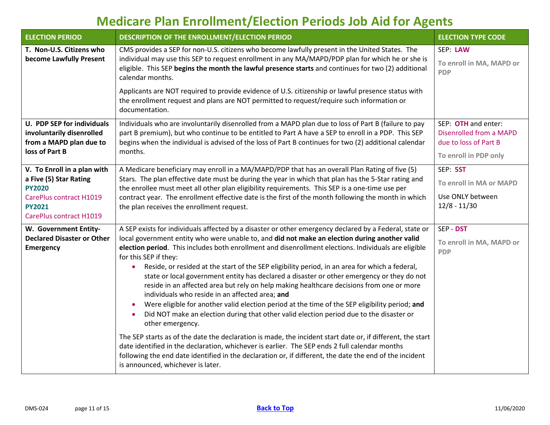<span id="page-10-3"></span><span id="page-10-2"></span><span id="page-10-1"></span><span id="page-10-0"></span>

| <b>ELECTION PERIOD</b>                                                                                                                        | DESCRIPTION OF THE ENROLLMENT/ELECTION PERIOD                                                                                                                                                                                                                                                                                                                                                                                                                                                                                                                                                                                                                                                                                                                                                                                                                                                                                                                                                                                                                                                                                                                                                                                                                                                     | <b>ELECTION TYPE CODE</b>                                                                        |
|-----------------------------------------------------------------------------------------------------------------------------------------------|---------------------------------------------------------------------------------------------------------------------------------------------------------------------------------------------------------------------------------------------------------------------------------------------------------------------------------------------------------------------------------------------------------------------------------------------------------------------------------------------------------------------------------------------------------------------------------------------------------------------------------------------------------------------------------------------------------------------------------------------------------------------------------------------------------------------------------------------------------------------------------------------------------------------------------------------------------------------------------------------------------------------------------------------------------------------------------------------------------------------------------------------------------------------------------------------------------------------------------------------------------------------------------------------------|--------------------------------------------------------------------------------------------------|
| T. Non-U.S. Citizens who<br>become Lawfully Present                                                                                           | CMS provides a SEP for non-U.S. citizens who become lawfully present in the United States. The<br>individual may use this SEP to request enrollment in any MA/MAPD/PDP plan for which he or she is<br>eligible. This SEP begins the month the lawful presence starts and continues for two (2) additional<br>calendar months.                                                                                                                                                                                                                                                                                                                                                                                                                                                                                                                                                                                                                                                                                                                                                                                                                                                                                                                                                                     | SEP: LAW<br>To enroll in MA, MAPD or<br><b>PDP</b>                                               |
|                                                                                                                                               | Applicants are NOT required to provide evidence of U.S. citizenship or lawful presence status with<br>the enrollment request and plans are NOT permitted to request/require such information or<br>documentation.                                                                                                                                                                                                                                                                                                                                                                                                                                                                                                                                                                                                                                                                                                                                                                                                                                                                                                                                                                                                                                                                                 |                                                                                                  |
| <b>U. PDP SEP for individuals</b><br>involuntarily disenrolled<br>from a MAPD plan due to<br>loss of Part B                                   | Individuals who are involuntarily disenrolled from a MAPD plan due to loss of Part B (failure to pay<br>part B premium), but who continue to be entitled to Part A have a SEP to enroll in a PDP. This SEP<br>begins when the individual is advised of the loss of Part B continues for two (2) additional calendar<br>months.                                                                                                                                                                                                                                                                                                                                                                                                                                                                                                                                                                                                                                                                                                                                                                                                                                                                                                                                                                    | SEP: OTH and enter:<br>Disenrolled from a MAPD<br>due to loss of Part B<br>To enroll in PDP only |
| V. To Enroll in a plan with<br>a Five (5) Star Rating<br><b>PY2020</b><br>CarePlus contract H1019<br><b>PY2021</b><br>CarePlus contract H1019 | A Medicare beneficiary may enroll in a MA/MAPD/PDP that has an overall Plan Rating of five (5)<br>Stars. The plan effective date must be during the year in which that plan has the 5-Star rating and<br>the enrollee must meet all other plan eligibility requirements. This SEP is a one-time use per<br>contract year. The enrollment effective date is the first of the month following the month in which<br>the plan receives the enrollment request.                                                                                                                                                                                                                                                                                                                                                                                                                                                                                                                                                                                                                                                                                                                                                                                                                                       | SEP: 5ST<br>To enroll in MA or MAPD<br>Use ONLY between<br>$12/8 - 11/30$                        |
| W. Government Entity-<br><b>Declared Disaster or Other</b><br>Emergency                                                                       | A SEP exists for individuals affected by a disaster or other emergency declared by a Federal, state or<br>local government entity who were unable to, and did not make an election during another valid<br>election period. This includes both enrollment and disenrollment elections. Individuals are eligible<br>for this SEP if they:<br>Reside, or resided at the start of the SEP eligibility period, in an area for which a federal,<br>$\bullet$<br>state or local government entity has declared a disaster or other emergency or they do not<br>reside in an affected area but rely on help making healthcare decisions from one or more<br>individuals who reside in an affected area; and<br>Were eligible for another valid election period at the time of the SEP eligibility period; and<br>Did NOT make an election during that other valid election period due to the disaster or<br>$\bullet$<br>other emergency.<br>The SEP starts as of the date the declaration is made, the incident start date or, if different, the start<br>date identified in the declaration, whichever is earlier. The SEP ends 2 full calendar months<br>following the end date identified in the declaration or, if different, the date the end of the incident<br>is announced, whichever is later. | SEP - DST<br>To enroll in MA, MAPD or<br><b>PDP</b>                                              |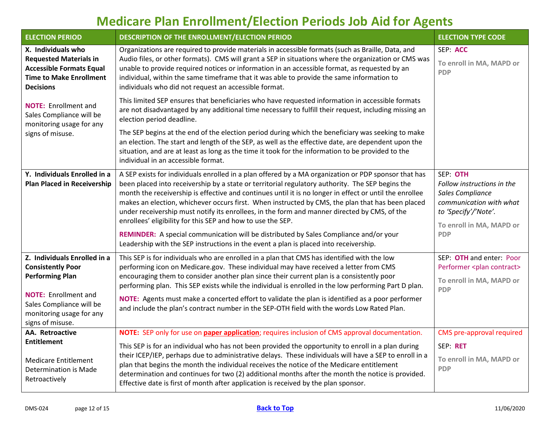<span id="page-11-3"></span><span id="page-11-2"></span><span id="page-11-1"></span><span id="page-11-0"></span>

| <b>ELECTION PERIOD</b>                                                                                                                                                                        | DESCRIPTION OF THE ENROLLMENT/ELECTION PERIOD                                                                                                                                                                                                                                                                                                                                                                                                                                                                                                                                                                                                                                                                                                                            |                                                                                                                                                         |  |  |
|-----------------------------------------------------------------------------------------------------------------------------------------------------------------------------------------------|--------------------------------------------------------------------------------------------------------------------------------------------------------------------------------------------------------------------------------------------------------------------------------------------------------------------------------------------------------------------------------------------------------------------------------------------------------------------------------------------------------------------------------------------------------------------------------------------------------------------------------------------------------------------------------------------------------------------------------------------------------------------------|---------------------------------------------------------------------------------------------------------------------------------------------------------|--|--|
| X. Individuals who<br><b>Requested Materials in</b><br><b>Accessible Formats Equal</b><br><b>Time to Make Enrollment</b><br><b>Decisions</b>                                                  | Organizations are required to provide materials in accessible formats (such as Braille, Data, and<br>Audio files, or other formats). CMS will grant a SEP in situations where the organization or CMS was<br>unable to provide required notices or information in an accessible format, as requested by an<br>individual, within the same timeframe that it was able to provide the same information to<br>individuals who did not request an accessible format.                                                                                                                                                                                                                                                                                                         |                                                                                                                                                         |  |  |
| <b>NOTE:</b> Enrollment and<br>Sales Compliance will be<br>monitoring usage for any<br>signs of misuse.                                                                                       | This limited SEP ensures that beneficiaries who have requested information in accessible formats<br>are not disadvantaged by any additional time necessary to fulfill their request, including missing an<br>election period deadline.                                                                                                                                                                                                                                                                                                                                                                                                                                                                                                                                   |                                                                                                                                                         |  |  |
|                                                                                                                                                                                               | The SEP begins at the end of the election period during which the beneficiary was seeking to make<br>an election. The start and length of the SEP, as well as the effective date, are dependent upon the<br>situation, and are at least as long as the time it took for the information to be provided to the<br>individual in an accessible format.                                                                                                                                                                                                                                                                                                                                                                                                                     |                                                                                                                                                         |  |  |
| Y. Individuals Enrolled in a<br><b>Plan Placed in Receivership</b>                                                                                                                            | A SEP exists for individuals enrolled in a plan offered by a MA organization or PDP sponsor that has<br>been placed into receivership by a state or territorial regulatory authority. The SEP begins the<br>month the receivership is effective and continues until it is no longer in effect or until the enrollee<br>makes an election, whichever occurs first. When instructed by CMS, the plan that has been placed<br>under receivership must notify its enrollees, in the form and manner directed by CMS, of the<br>enrollees' eligibility for this SEP and how to use the SEP.<br>REMINDER: A special communication will be distributed by Sales Compliance and/or your<br>Leadership with the SEP instructions in the event a plan is placed into receivership. | SEP: OTH<br>Follow instructions in the<br>Sales Compliance<br>communication with what<br>to 'Specify'/'Note'.<br>To enroll in MA, MAPD or<br><b>PDP</b> |  |  |
| Z. Individuals Enrolled in a<br><b>Consistently Poor</b><br><b>Performing Plan</b><br><b>NOTE:</b> Enrollment and<br>Sales Compliance will be<br>monitoring usage for any<br>signs of misuse. | This SEP is for individuals who are enrolled in a plan that CMS has identified with the low<br>performing icon on Medicare.gov. These individual may have received a letter from CMS<br>encouraging them to consider another plan since their current plan is a consistently poor<br>performing plan. This SEP exists while the individual is enrolled in the low performing Part D plan.<br>NOTE: Agents must make a concerted effort to validate the plan is identified as a poor performer<br>and include the plan's contract number in the SEP-OTH field with the words Low Rated Plan.                                                                                                                                                                              | SEP: OTH and enter: Poor<br>Performer <plan contract=""><br/>To enroll in MA, MAPD or<br/><b>PDP</b></plan>                                             |  |  |
| AA. Retroactive<br><b>Entitlement</b><br><b>Medicare Entitlement</b><br><b>Determination is Made</b><br>Retroactively                                                                         | NOTE: SEP only for use on paper application; requires inclusion of CMS approval documentation.<br>This SEP is for an individual who has not been provided the opportunity to enroll in a plan during<br>their ICEP/IEP, perhaps due to administrative delays. These individuals will have a SEP to enroll in a<br>plan that begins the month the individual receives the notice of the Medicare entitlement<br>determination and continues for two (2) additional months after the month the notice is provided.<br>Effective date is first of month after application is received by the plan sponsor.                                                                                                                                                                  | CMS pre-approval required<br>SEP: RET<br>To enroll in MA, MAPD or<br><b>PDP</b>                                                                         |  |  |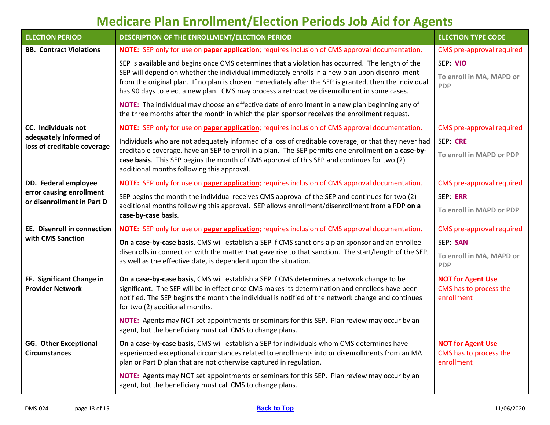<span id="page-12-5"></span><span id="page-12-4"></span><span id="page-12-3"></span><span id="page-12-2"></span><span id="page-12-1"></span><span id="page-12-0"></span>

| <b>ELECTION PERIOD</b>                                 | DESCRIPTION OF THE ENROLLMENT/ELECTION PERIOD                                                                                                                                                                                                                                                                                                                   | <b>ELECTION TYPE CODE</b> |  |  |  |
|--------------------------------------------------------|-----------------------------------------------------------------------------------------------------------------------------------------------------------------------------------------------------------------------------------------------------------------------------------------------------------------------------------------------------------------|---------------------------|--|--|--|
| <b>BB. Contract Violations</b>                         | NOTE: SEP only for use on paper application; requires inclusion of CMS approval documentation.                                                                                                                                                                                                                                                                  | CMS pre-approval required |  |  |  |
|                                                        | SEP is available and begins once CMS determines that a violation has occurred. The length of the                                                                                                                                                                                                                                                                | SEP: VIO                  |  |  |  |
|                                                        | SEP will depend on whether the individual immediately enrolls in a new plan upon disenrollment<br>from the original plan. If no plan is chosen immediately after the SEP is granted, then the individual<br>has 90 days to elect a new plan. CMS may process a retroactive disenrollment in some cases.                                                         |                           |  |  |  |
|                                                        | NOTE: The individual may choose an effective date of enrollment in a new plan beginning any of<br>the three months after the month in which the plan sponsor receives the enrollment request.                                                                                                                                                                   |                           |  |  |  |
| CC. Individuals not                                    | NOTE: SEP only for use on paper application; requires inclusion of CMS approval documentation.                                                                                                                                                                                                                                                                  | CMS pre-approval required |  |  |  |
| adequately informed of<br>loss of creditable coverage  | Individuals who are not adequately informed of a loss of creditable coverage, or that they never had                                                                                                                                                                                                                                                            | SEP: CRE                  |  |  |  |
|                                                        | creditable coverage, have an SEP to enroll in a plan. The SEP permits one enrollment on a case-by-<br>case basis. This SEP begins the month of CMS approval of this SEP and continues for two (2)<br>additional months following this approval.                                                                                                                 | To enroll in MAPD or PDP  |  |  |  |
| DD. Federal employee                                   | NOTE: SEP only for use on paper application; requires inclusion of CMS approval documentation.                                                                                                                                                                                                                                                                  | CMS pre-approval required |  |  |  |
| error causing enrollment<br>or disenrollment in Part D | SEP begins the month the individual receives CMS approval of the SEP and continues for two (2)                                                                                                                                                                                                                                                                  | SEP: ERR                  |  |  |  |
|                                                        | additional months following this approval. SEP allows enrollment/disenrollment from a PDP on a<br>case-by-case basis.                                                                                                                                                                                                                                           | To enroll in MAPD or PDP  |  |  |  |
| <b>EE.</b> Disenroll in connection                     | NOTE: SEP only for use on paper application; requires inclusion of CMS approval documentation.                                                                                                                                                                                                                                                                  | CMS pre-approval required |  |  |  |
| with CMS Sanction                                      | On a case-by-case basis, CMS will establish a SEP if CMS sanctions a plan sponsor and an enrollee                                                                                                                                                                                                                                                               | SEP: SAN                  |  |  |  |
|                                                        | disenrolls in connection with the matter that gave rise to that sanction. The start/length of the SEP,<br>as well as the effective date, is dependent upon the situation.                                                                                                                                                                                       |                           |  |  |  |
| FF. Significant Change in                              | On a case-by-case basis, CMS will establish a SEP if CMS determines a network change to be<br>significant. The SEP will be in effect once CMS makes its determination and enrollees have been<br><b>Provider Network</b><br>notified. The SEP begins the month the individual is notified of the network change and continues<br>for two (2) additional months. |                           |  |  |  |
|                                                        |                                                                                                                                                                                                                                                                                                                                                                 |                           |  |  |  |
|                                                        | NOTE: Agents may NOT set appointments or seminars for this SEP. Plan review may occur by an<br>agent, but the beneficiary must call CMS to change plans.                                                                                                                                                                                                        |                           |  |  |  |
| <b>GG. Other Exceptional</b><br><b>Circumstances</b>   | On a case-by-case basis, CMS will establish a SEP for individuals whom CMS determines have<br>experienced exceptional circumstances related to enrollments into or disenrollments from an MA<br>plan or Part D plan that are not otherwise captured in regulation.                                                                                              |                           |  |  |  |
|                                                        | NOTE: Agents may NOT set appointments or seminars for this SEP. Plan review may occur by an<br>agent, but the beneficiary must call CMS to change plans.                                                                                                                                                                                                        |                           |  |  |  |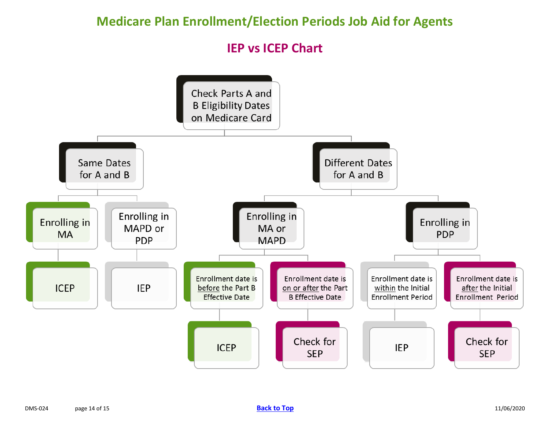**IEP vs ICEP Chart**

<span id="page-13-0"></span>